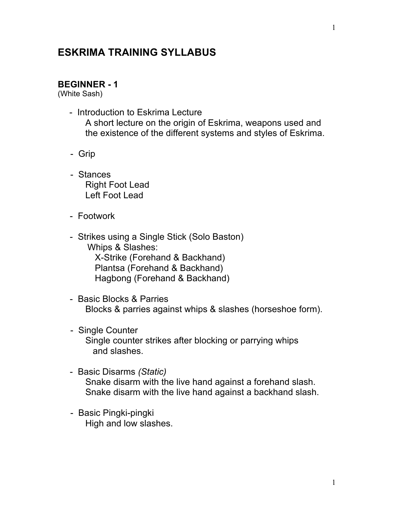## **ESKRIMA TRAINING SYLLABUS**

#### **BEGINNER - 1**

(White Sash)

- Introduction to Eskrima Lecture

 A short lecture on the origin of Eskrima, weapons used and the existence of the different systems and styles of Eskrima.

- Grip
- Stances Right Foot Lead Left Foot Lead
- Footwork
- Strikes using a Single Stick (Solo Baston) Whips & Slashes: X-Strike (Forehand & Backhand) Plantsa (Forehand & Backhand) Hagbong (Forehand & Backhand)
- Basic Blocks & Parries Blocks & parries against whips & slashes (horseshoe form).
- Single Counter Single counter strikes after blocking or parrying whips and slashes.
- Basic Disarms *(Static)* Snake disarm with the live hand against a forehand slash. Snake disarm with the live hand against a backhand slash.
- Basic Pingki-pingki High and low slashes.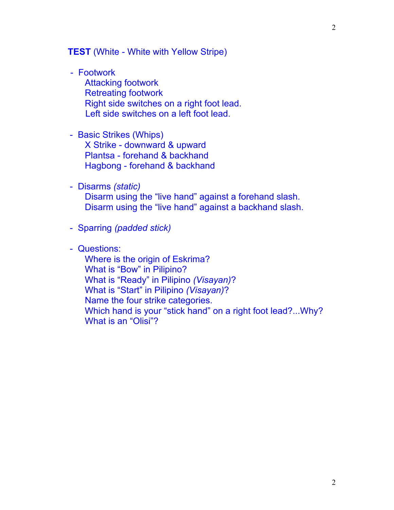**TEST** (White - White with Yellow Stripe)

- Footwork

 Attacking footwork Retreating footwork Right side switches on a right foot lead. Left side switches on a left foot lead.

### - Basic Strikes (Whips)

 X Strike - downward & upward Plantsa - forehand & backhand Hagbong - forehand & backhand

- Disarms *(static)*

 Disarm using the "live hand" against a forehand slash. Disarm using the "live hand" against a backhand slash.

- Sparring *(padded stick)*
- Questions:

 Where is the origin of Eskrima? What is "Bow" in Pilipino? What is "Ready" in Pilipino *(Visayan)*? What is "Start" in Pilipino *(Visayan)*? Name the four strike categories. Which hand is your "stick hand" on a right foot lead?...Why? What is an "Olisi"?

2

2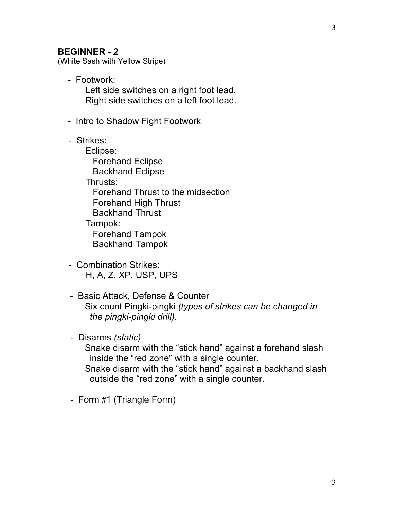#### **BEGINNER - 2**

(White Sash with Yellow Stripe)

- Footwork: Left side switches on a right foot lead. Right side switches on a left foot lead.
- Intro to Shadow Fight Footwork
- Strikes:

 Eclipse: Forehand Eclipse Backhand Eclipse Thrusts: Forehand Thrust to the midsection Forehand High Thrust Backhand Thrust Tampok: Forehand Tampok Backhand Tampok

- Combination Strikes: H, A, Z, XP, USP, UPS
- Basic Attack, Defense & Counter Six count Pingki-pingki *(types of strikes can be changed in the pingki-pingki drill).*
- Disarms *(static)*

 Snake disarm with the "stick hand" against a forehand slash inside the "red zone" with a single counter.

 Snake disarm with the "stick hand" against a backhand slash outside the "red zone" with a single counter.

- Form #1 (Triangle Form)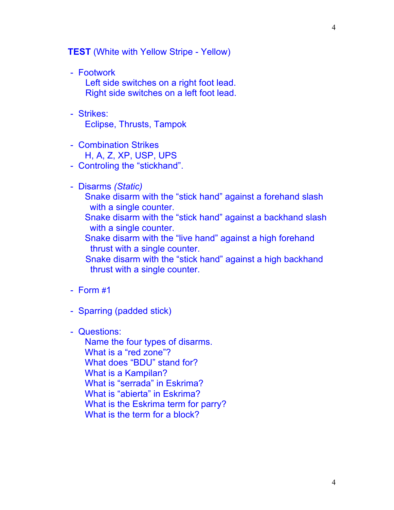**TEST** (White with Yellow Stripe - Yellow)

- Footwork

 Left side switches on a right foot lead. Right side switches on a left foot lead.

- Strikes: Eclipse, Thrusts, Tampok
- Combination Strikes H, A, Z, XP, USP, UPS
- Controling the "stickhand".
- Disarms *(Static)*
	- Snake disarm with the "stick hand" against a forehand slash with a single counter.
	- Snake disarm with the "stick hand" against a backhand slash with a single counter.
	- Snake disarm with the "live hand" against a high forehand thrust with a single counter.
	- Snake disarm with the "stick hand" against a high backhand thrust with a single counter.
- Form #1
- Sparring (padded stick)
- Questions:

 Name the four types of disarms. What is a "red zone"? What does "BDU" stand for? What is a Kampilan? What is "serrada" in Eskrima? What is "abierta" in Eskrima? What is the Eskrima term for parry? What is the term for a block?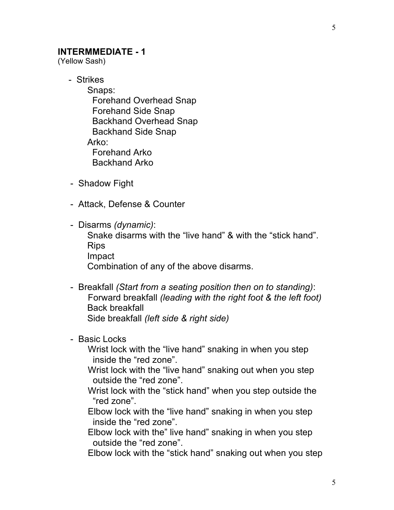#### **INTERMMEDIATE - 1**

(Yellow Sash)

- Strikes

 Snaps: Forehand Overhead Snap Forehand Side Snap Backhand Overhead Snap Backhand Side Snap Arko: Forehand Arko Backhand Arko

- Shadow Fight
- Attack, Defense & Counter
- Disarms *(dynamic)*:

 Snake disarms with the "live hand" & with the "stick hand". Rips Impact

Combination of any of the above disarms.

- Breakfall *(Start from a seating position then on to standing)*: Forward breakfall *(leading with the right foot & the left foot)* Back breakfall Side breakfall *(left side & right side)*
- Basic Locks

 Wrist lock with the "live hand" snaking in when you step inside the "red zone".

 Wrist lock with the "live hand" snaking out when you step outside the "red zone".

 Wrist lock with the "stick hand" when you step outside the "red zone".

 Elbow lock with the "live hand" snaking in when you step inside the "red zone".

 Elbow lock with the" live hand" snaking in when you step outside the "red zone".

Elbow lock with the "stick hand" snaking out when you step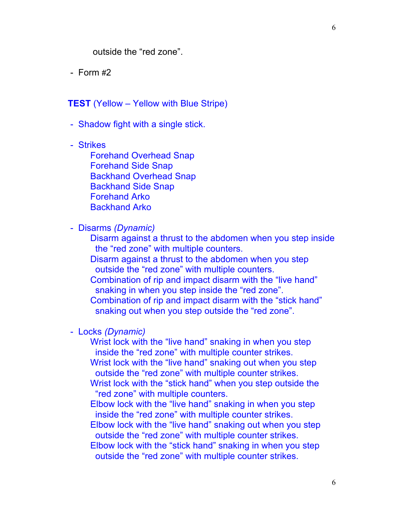outside the "red zone".

 $-$  Form  $\#2$ 

**TEST** (Yellow – Yellow with Blue Stripe)

- Shadow fight with a single stick.
- Strikes

 Forehand Overhead Snap Forehand Side Snap Backhand Overhead Snap Backhand Side Snap Forehand Arko Backhand Arko

- Disarms *(Dynamic)*

 Disarm against a thrust to the abdomen when you step inside the "red zone" with multiple counters.

 Disarm against a thrust to the abdomen when you step outside the "red zone" with multiple counters.

 Combination of rip and impact disarm with the "live hand" snaking in when you step inside the "red zone".

 Combination of rip and impact disarm with the "stick hand" snaking out when you step outside the "red zone".

- Locks *(Dynamic)*

 Wrist lock with the "live hand" snaking in when you step inside the "red zone" with multiple counter strikes. Wrist lock with the "live hand" snaking out when you step outside the "red zone" with multiple counter strikes.

 Wrist lock with the "stick hand" when you step outside the "red zone" with multiple counters.

 Elbow lock with the "live hand" snaking in when you step inside the "red zone" with multiple counter strikes.

 Elbow lock with the "live hand" snaking out when you step outside the "red zone" with multiple counter strikes.

 Elbow lock with the "stick hand" snaking in when you step outside the "red zone" with multiple counter strikes.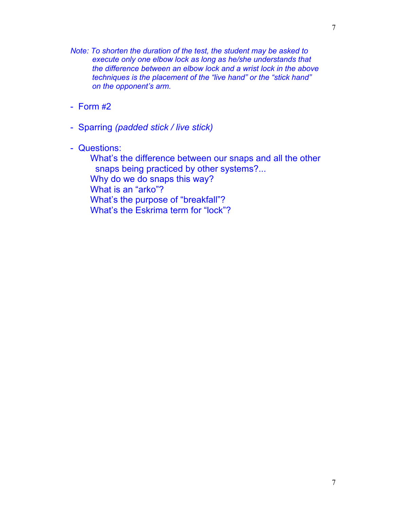- *Note: To shorten the duration of the test, the student may be asked to execute only one elbow lock as long as he/she understands that the difference between an elbow lock and a wrist lock in the above techniques is the placement of the "live hand" or the "stick hand" on the opponent's arm.*
- Form #2
- Sparring *(padded stick / live stick)*
- Questions:

 What's the difference between our snaps and all the other snaps being practiced by other systems?... Why do we do snaps this way? What is an "arko"? What's the purpose of "breakfall"? What's the Eskrima term for "lock"?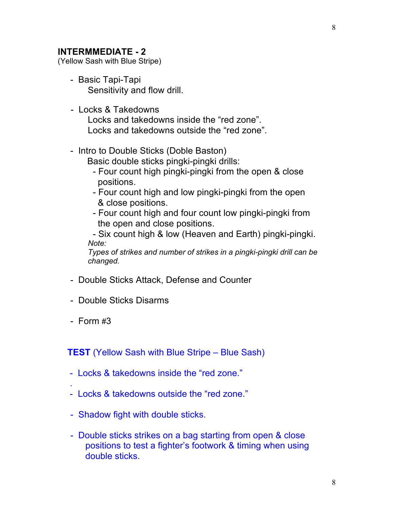### **INTERMMEDIATE - 2**

(Yellow Sash with Blue Stripe)

- Basic Tapi-Tapi Sensitivity and flow drill.
- Locks & Takedowns Locks and takedowns inside the "red zone". Locks and takedowns outside the "red zone".
- Intro to Double Sticks (Doble Baston) Basic double sticks pingki-pingki drills:
	- Four count high pingki-pingki from the open & close positions.
	- Four count high and low pingki-pingki from the open & close positions.
	- Four count high and four count low pingki-pingki from the open and close positions.

- Six count high & low (Heaven and Earth) pingki-pingki. *Note:*

 *Types of strikes and number of strikes in a pingki-pingki drill can be changed.*

- Double Sticks Attack, Defense and Counter
- Double Sticks Disarms
- $-$  Form  $\#3$

.

**TEST** (Yellow Sash with Blue Stripe – Blue Sash)

- Locks & takedowns inside the "red zone."
- Locks & takedowns outside the "red zone."
- Shadow fight with double sticks.
- Double sticks strikes on a bag starting from open & close positions to test a fighter's footwork & timing when using double sticks.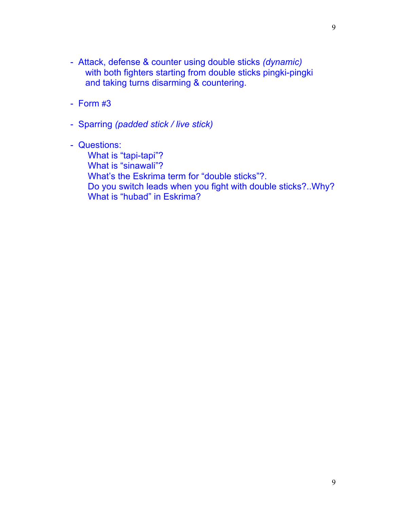- Attack, defense & counter using double sticks *(dynamic)* with both fighters starting from double sticks pingki-pingki and taking turns disarming & countering.
- Form #3
- Sparring *(padded stick / live stick)*
- Questions:

What is "tapi-tapi"? What is "sinawali"? What's the Eskrima term for "double sticks"?. Do you switch leads when you fight with double sticks?..Why? What is "hubad" in Eskrima?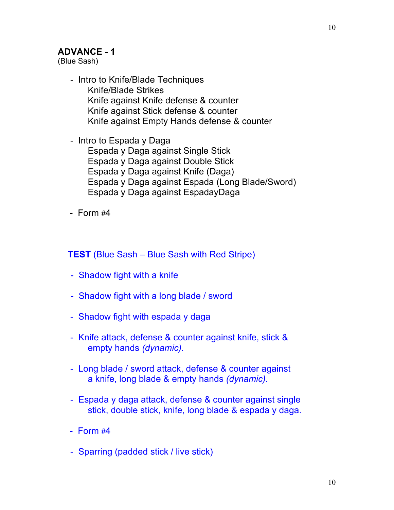### **ADVANCE - 1**

(Blue Sash)

- Intro to Knife/Blade Techniques Knife/Blade Strikes Knife against Knife defense & counter Knife against Stick defense & counter Knife against Empty Hands defense & counter
- Intro to Espada y Daga Espada y Daga against Single Stick Espada y Daga against Double Stick Espada y Daga against Knife (Daga) Espada y Daga against Espada (Long Blade/Sword) Espada y Daga against EspadayDaga
- $-$  Form  $#4$

**TEST** (Blue Sash – Blue Sash with Red Stripe)

- Shadow fight with a knife
- Shadow fight with a long blade / sword
- Shadow fight with espada y daga
- Knife attack, defense & counter against knife, stick & empty hands *(dynamic).*
- Long blade / sword attack, defense & counter against a knife, long blade & empty hands *(dynamic).*
- Espada y daga attack, defense & counter against single stick, double stick, knife, long blade & espada y daga.
- $-$  Form  $#4$
- Sparring (padded stick / live stick)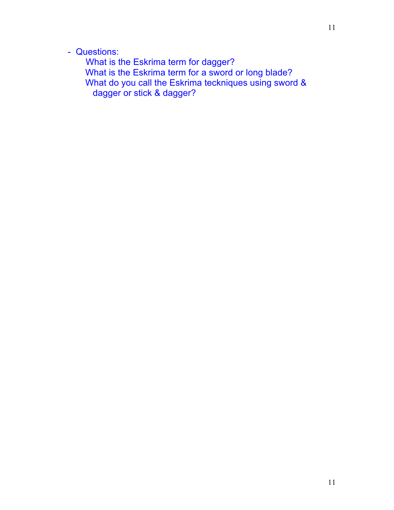## - Questions:

 What is the Eskrima term for dagger? What is the Eskrima term for a sword or long blade? What do you call the Eskrima teckniques using sword & dagger or stick & dagger?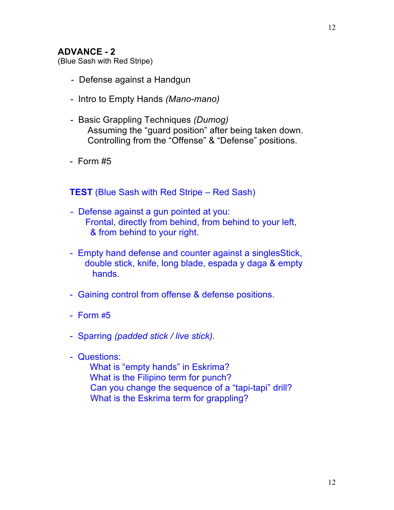## **ADVANCE - 2**

(Blue Sash with Red Stripe)

- Defense against a Handgun
- Intro to Empty Hands *(Mano-mano)*
- Basic Grappling Techniques *(Dumog)* Assuming the "guard position" after being taken down. Controlling from the "Offense" & "Defense" positions.
- Form #5

## **TEST** (Blue Sash with Red Stripe – Red Sash)

- Defense against a gun pointed at you: Frontal, directly from behind, from behind to your left, & from behind to your right.
- Empty hand defense and counter against a singlesStick, double stick, knife, long blade, espada y daga & empty hands.
- Gaining control from offense & defense positions.
- Form #5
- Sparring *(padded stick / live stick).*
- Questions:

 What is "empty hands" in Eskrima? What is the Filipino term for punch? Can you change the sequence of a "tapi-tapi" drill? What is the Eskrima term for grappling?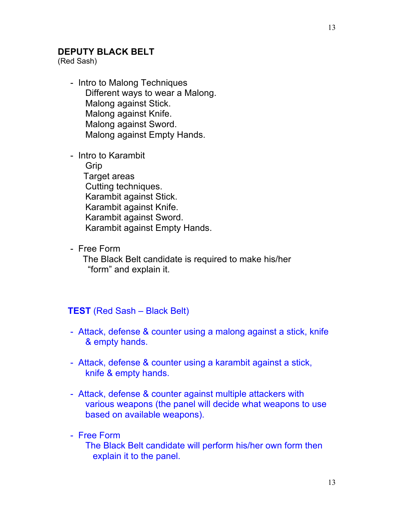## **DEPUTY BLACK BELT**

(Red Sash)

- Intro to Malong Techniques Different ways to wear a Malong. Malong against Stick. Malong against Knife. Malong against Sword. Malong against Empty Hands.
- Intro to Karambit Grip Target areas Cutting techniques. Karambit against Stick. Karambit against Knife. Karambit against Sword. Karambit against Empty Hands.
- Free Form

 The Black Belt candidate is required to make his/her "form" and explain it.

## **TEST** (Red Sash – Black Belt)

- Attack, defense & counter using a malong against a stick, knife & empty hands.
- Attack, defense & counter using a karambit against a stick, knife & empty hands.
- Attack, defense & counter against multiple attackers with various weapons (the panel will decide what weapons to use based on available weapons).

## - Free Form

 The Black Belt candidate will perform his/her own form then explain it to the panel.